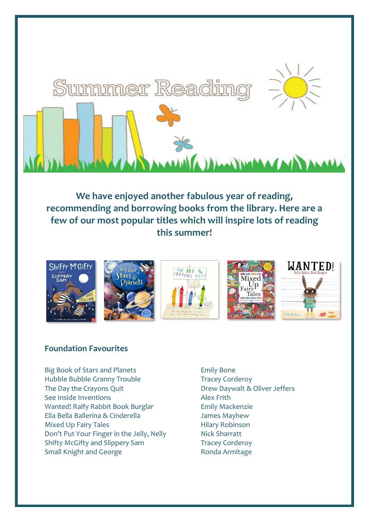

**We have enjoyed another fabulous year of reading, recommending and borrowing books from the library. Here are a few of our most popular titles which will inspire lots of reading this summer!**



### **Foundation Favourites**

Big Book of Stars and Planets **Emily Bone** Hubble Bubble Granny Trouble Tracey Corderoy The Day the Crayons Quit **Drew Daywalt & Oliver Jeffers** See Inside Inventions **Alex Frith** Wanted! Ralfy Rabbit Book Burglar Fig. 2014 Emily Mackenzie Ella Bella Ballerina & Cinderella James Mayhew Mixed Up Fairy Tales **Hilary Robinson** Don't Put Your Finger in the Jelly, Nelly Nick Sharratt Shifty McGifty and Slippery Sam Tracey Corderoy Small Knight and George **Ronda Armitage**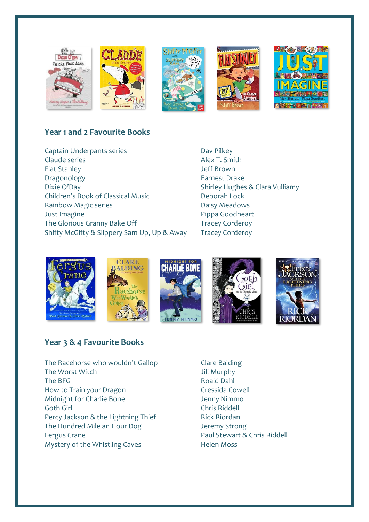

## **Year 1 and 2 Favourite Books**

Captain Underpants series **Dav Pilkey** Claude series **Alex T. Smith** Flat Stanley **Standard Communist Communist Standard Standard Jeff Brown** Dragonology **Earnest Drake** Dixie O'Day **Shirley Hughes & Clara Vulliamy** Children's Book of Classical Music Deborah Lock Rainbow Magic series **Daisy Meadows** Just Imagine **According to the Contract According Pippa Goodheart** The Glorious Granny Bake Off Tracey Corderoy Shifty McGifty & Slippery Sam Up, Up & Away Tracey Corderoy











### **Year 3 & 4 Favourite Books**

- The Racehorse who wouldn't Gallop Clare Balding The Worst Witch **The Worst Witch Jill Murphy** The BFG **Roald Dahl** How to Train your Dragon Train Cressida Cowell Midnight for Charlie Bone **Jenny Nimmo** Goth Girl Chris Riddell Percy Jackson & the Lightning Thief Rick Riordan The Hundred Mile an Hour Dog Jeremy Strong Fergus Crane **Paul Stewart & Chris Riddell** Mystery of the Whistling Caves **Helen Moss** 
	-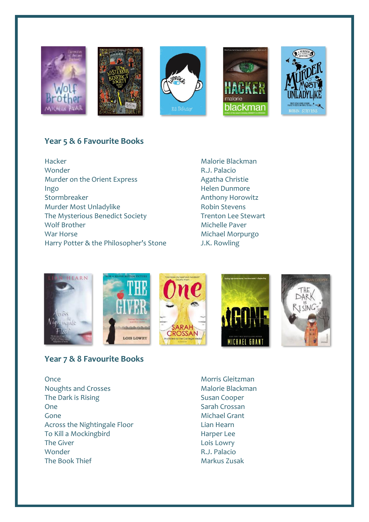

## **Year 5 & 6 Favourite Books**

Hacker Malorie Blackman Wonder **R.J. Palacio** Murder on the Orient Express Agatha Christie Ingo Helen Dunmore Murder Most Unladylike Robin Stevens The Mysterious Benedict Society Trenton Lee Stewart Wolf Brother Michelle Paver War Horse **Michael Morpurgo** Michael Morpurgo Harry Potter & the Philosopher's Stone J.K. Rowling

Anthony Horowitz



### **Year 7 & 8 Favourite Books**

Once Morris Gleitzman Noughts and Crosses Malorie Blackman The Dark is Rising The Dark is Rising Susan Cooper One Sarah Crossan Gone **Grant** Grant Grant Grant Grant Grant Grant Grant Grant Grant Grant Grant Grant Grant Grant Grant Grant Grant Grant Grant Grant Grant Grant Grant Grant Grant Grant Grant Grant Grant Grant Grant Grant Grant Grant Grant Across the Nightingale Floor **Lian Hearn** To Kill a Mockingbird **Harper Lee** The Giver **Lois Lowry** Wonder **R.J. Palacio** The Book Thief Markus Zusak